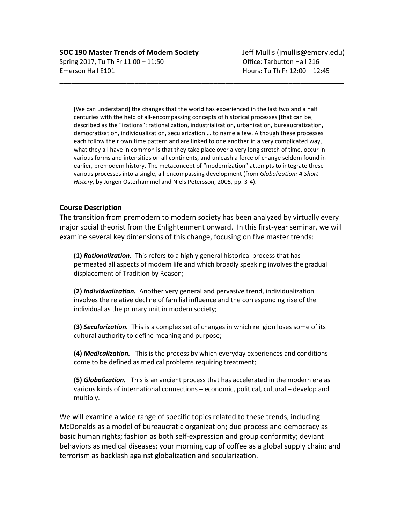[We can understand] the changes that the world has experienced in the last two and a half centuries with the help of all-encompassing concepts of historical processes [that can be] described as the "izations": rationalization, industrialization, urbanization, bureaucratization, democratization, individualization, secularization … to name a few. Although these processes each follow their own time pattern and are linked to one another in a very complicated way, what they all have in common is that they take place over a very long stretch of time, occur in various forms and intensities on all continents, and unleash a force of change seldom found in earlier, premodern history. The metaconcept of "modernization" attempts to integrate these various processes into a single, all-encompassing development (from *Globalization: A Short History*, by Jürgen Osterhammel and Niels Petersson, 2005, pp. 3-4).

\_\_\_\_\_\_\_\_\_\_\_\_\_\_\_\_\_\_\_\_\_\_\_\_\_\_\_\_\_\_\_\_\_\_\_\_\_\_\_\_\_\_\_\_\_\_\_\_\_\_\_\_\_\_\_\_\_\_\_\_\_\_\_\_\_\_\_\_\_\_\_\_

#### **Course Description**

The transition from premodern to modern society has been analyzed by virtually every major social theorist from the Enlightenment onward. In this first-year seminar, we will examine several key dimensions of this change, focusing on five master trends:

**(1)** *Rationalization.* This refers to a highly general historical process that has permeated all aspects of modern life and which broadly speaking involves the gradual displacement of Tradition by Reason;

**(2)** *Individualization.* Another very general and pervasive trend, individualization involves the relative decline of familial influence and the corresponding rise of the individual as the primary unit in modern society;

**(3)** *Secularization.* This is a complex set of changes in which religion loses some of its cultural authority to define meaning and purpose;

**(4)** *Medicalization.* This is the process by which everyday experiences and conditions come to be defined as medical problems requiring treatment;

**(5)** *Globalization.* This is an ancient process that has accelerated in the modern era as various kinds of international connections – economic, political, cultural – develop and multiply.

We will examine a wide range of specific topics related to these trends, including McDonalds as a model of bureaucratic organization; due process and democracy as basic human rights; fashion as both self-expression and group conformity; deviant behaviors as medical diseases; your morning cup of coffee as a global supply chain; and terrorism as backlash against globalization and secularization.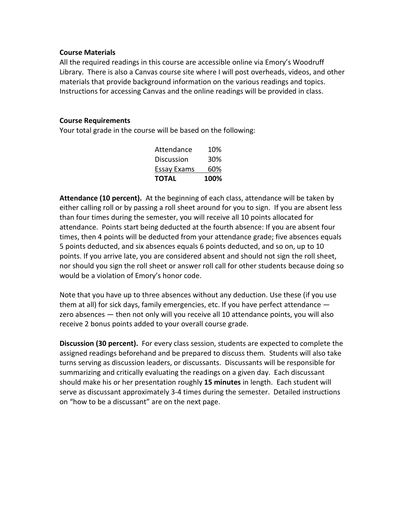#### **Course Materials**

All the required readings in this course are accessible online via Emory's Woodruff Library. There is also a Canvas course site where I will post overheads, videos, and other materials that provide background information on the various readings and topics. Instructions for accessing Canvas and the online readings will be provided in class.

#### **Course Requirements**

Your total grade in the course will be based on the following:

| <b>TOTAL</b>       | 100% |
|--------------------|------|
| <b>Essay Exams</b> | 60%  |
| Discussion         | 30%  |
| Attendance         | 10%  |

**Attendance (10 percent).** At the beginning of each class, attendance will be taken by either calling roll or by passing a roll sheet around for you to sign. If you are absent less than four times during the semester, you will receive all 10 points allocated for attendance. Points start being deducted at the fourth absence: If you are absent four times, then 4 points will be deducted from your attendance grade; five absences equals 5 points deducted, and six absences equals 6 points deducted, and so on, up to 10 points. If you arrive late, you are considered absent and should not sign the roll sheet, nor should you sign the roll sheet or answer roll call for other students because doing so would be a violation of Emory's honor code.

Note that you have up to three absences without any deduction. Use these (if you use them at all) for sick days, family emergencies, etc. If you have perfect attendance zero absences — then not only will you receive all 10 attendance points, you will also receive 2 bonus points added to your overall course grade.

**Discussion (30 percent).** For every class session, students are expected to complete the assigned readings beforehand and be prepared to discuss them. Students will also take turns serving as discussion leaders, or discussants. Discussants will be responsible for summarizing and critically evaluating the readings on a given day. Each discussant should make his or her presentation roughly **15 minutes** in length. Each student will serve as discussant approximately 3-4 times during the semester. Detailed instructions on "how to be a discussant" are on the next page.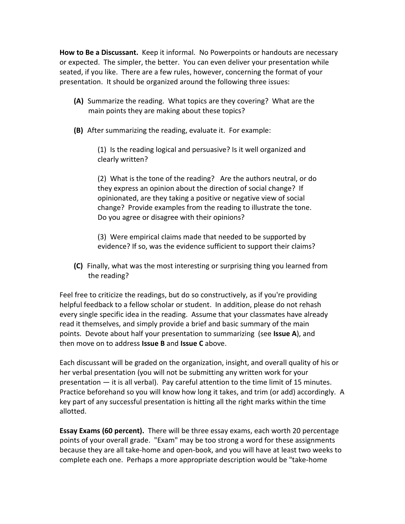**How to Be a Discussant.** Keep it informal. No Powerpoints or handouts are necessary or expected. The simpler, the better. You can even deliver your presentation while seated, if you like. There are a few rules, however, concerning the format of your presentation. It should be organized around the following three issues:

- **(A)** Summarize the reading. What topics are they covering? What are the main points they are making about these topics?
- **(B)** After summarizing the reading, evaluate it. For example:

(1) Is the reading logical and persuasive? Is it well organized and clearly written?

(2) What is the tone of the reading? Are the authors neutral, or do they express an opinion about the direction of social change? If opinionated, are they taking a positive or negative view of social change? Provide examples from the reading to illustrate the tone. Do you agree or disagree with their opinions?

(3) Were empirical claims made that needed to be supported by evidence? If so, was the evidence sufficient to support their claims?

**(C)** Finally, what was the most interesting or surprising thing you learned from the reading?

Feel free to criticize the readings, but do so constructively, as if you're providing helpful feedback to a fellow scholar or student. In addition, please do not rehash every single specific idea in the reading. Assume that your classmates have already read it themselves, and simply provide a brief and basic summary of the main points. Devote about half your presentation to summarizing (see **Issue A**), and then move on to address **Issue B** and **Issue C** above.

Each discussant will be graded on the organization, insight, and overall quality of his or her verbal presentation (you will not be submitting any written work for your presentation — it is all verbal). Pay careful attention to the time limit of 15 minutes. Practice beforehand so you will know how long it takes, and trim (or add) accordingly. A key part of any successful presentation is hitting all the right marks within the time allotted.

**Essay Exams (60 percent).** There will be three essay exams, each worth 20 percentage points of your overall grade. "Exam" may be too strong a word for these assignments because they are all take-home and open-book, and you will have at least two weeks to complete each one. Perhaps a more appropriate description would be "take-home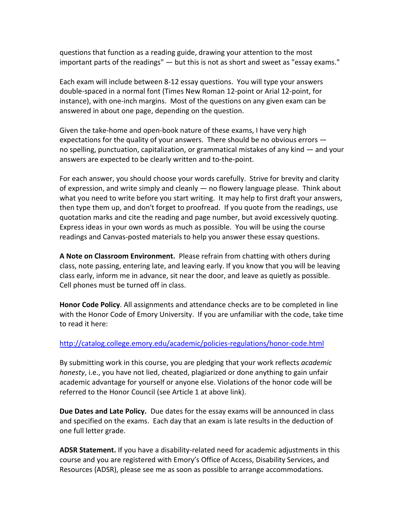questions that function as a reading guide, drawing your attention to the most important parts of the readings" — but this is not as short and sweet as "essay exams."

Each exam will include between 8-12 essay questions. You will type your answers double-spaced in a normal font (Times New Roman 12-point or Arial 12-point, for instance), with one-inch margins. Most of the questions on any given exam can be answered in about one page, depending on the question.

Given the take-home and open-book nature of these exams, I have very high expectations for the quality of your answers. There should be no obvious errors no spelling, punctuation, capitalization, or grammatical mistakes of any kind — and your answers are expected to be clearly written and to-the-point.

For each answer, you should choose your words carefully. Strive for brevity and clarity of expression, and write simply and cleanly — no flowery language please. Think about what you need to write before you start writing. It may help to first draft your answers, then type them up, and don't forget to proofread. If you quote from the readings, use quotation marks and cite the reading and page number, but avoid excessively quoting. Express ideas in your own words as much as possible. You will be using the course readings and Canvas-posted materials to help you answer these essay questions.

**A Note on Classroom Environment.** Please refrain from chatting with others during class, note passing, entering late, and leaving early. If you know that you will be leaving class early, inform me in advance, sit near the door, and leave as quietly as possible. Cell phones must be turned off in class.

**Honor Code Policy**. All assignments and attendance checks are to be completed in line with the Honor Code of Emory University. If you are unfamiliar with the code, take time to read it here:

#### <http://catalog.college.emory.edu/academic/policies-regulations/honor-code.html>

By submitting work in this course, you are pledging that your work reflects *academic honesty*, i.e., you have not lied, cheated, plagiarized or done anything to gain unfair academic advantage for yourself or anyone else. Violations of the honor code will be referred to the Honor Council (see Article 1 at above link).

**Due Dates and Late Policy.** Due dates for the essay exams will be announced in class and specified on the exams. Each day that an exam is late results in the deduction of one full letter grade.

**ADSR Statement.** If you have a disability-related need for academic adjustments in this course and you are registered with Emory's Office of Access, Disability Services, and Resources (ADSR), please see me as soon as possible to arrange accommodations.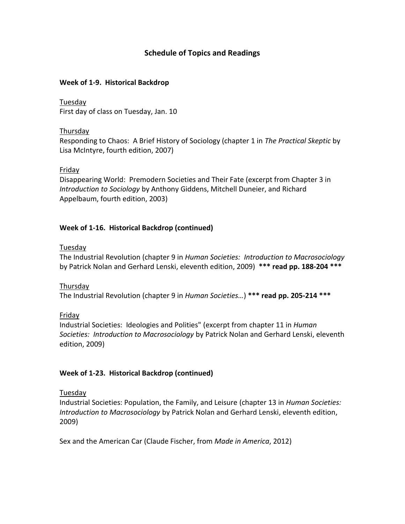# **Schedule of Topics and Readings**

#### **Week of 1-9. Historical Backdrop**

Tuesday First day of class on Tuesday, Jan. 10

#### Thursday

Responding to Chaos: A Brief History of Sociology (chapter 1 in *The Practical Skeptic* by Lisa McIntyre, fourth edition, 2007)

## Friday

Disappearing World: Premodern Societies and Their Fate (excerpt from Chapter 3 in *Introduction to Sociology* by Anthony Giddens, Mitchell Duneier, and Richard Appelbaum, fourth edition, 2003)

# **Week of 1-16. Historical Backdrop (continued)**

## Tuesday

The Industrial Revolution (chapter 9 in *Human Societies: Introduction to Macrosociology* by Patrick Nolan and Gerhard Lenski, eleventh edition, 2009) **\*\*\* read pp. 188-204 \*\*\***

#### Thursday

The Industrial Revolution (chapter 9 in *Human Societies…*) **\*\*\* read pp. 205-214 \*\*\***

# Friday

Industrial Societies: Ideologies and Polities" (excerpt from chapter 11 in *Human Societies: Introduction to Macrosociology* by Patrick Nolan and Gerhard Lenski, eleventh edition, 2009)

# **Week of 1-23. Historical Backdrop (continued)**

# Tuesday

Industrial Societies: Population, the Family, and Leisure (chapter 13 in *Human Societies: Introduction to Macrosociology* by Patrick Nolan and Gerhard Lenski, eleventh edition, 2009)

Sex and the American Car (Claude Fischer, from *Made in America*, 2012)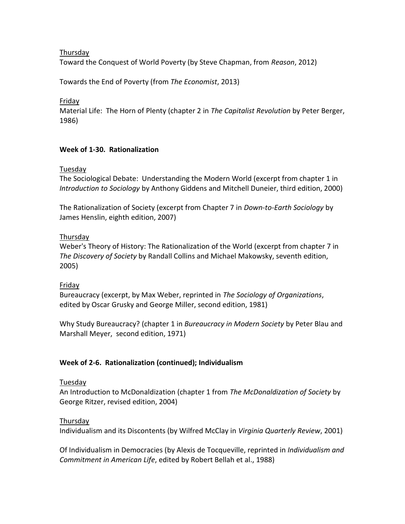## Thursday

Toward the Conquest of World Poverty (by Steve Chapman, from *Reason*, 2012)

Towards the End of Poverty (from *The Economist*, 2013)

Friday

Material Life: The Horn of Plenty (chapter 2 in *The Capitalist Revolution* by Peter Berger, 1986)

## **Week of 1-30. Rationalization**

#### Tuesday

The Sociological Debate: Understanding the Modern World (excerpt from chapter 1 in *Introduction to Sociology* by Anthony Giddens and Mitchell Duneier, third edition, 2000)

The Rationalization of Society (excerpt from Chapter 7 in *Down-to-Earth Sociology* by James Henslin, eighth edition, 2007)

#### Thursday

Weber's Theory of History: The Rationalization of the World (excerpt from chapter 7 in *The Discovery of Society* by Randall Collins and Michael Makowsky, seventh edition, 2005)

#### Friday

Bureaucracy (excerpt, by Max Weber, reprinted in *The Sociology of Organizations*, edited by Oscar Grusky and George Miller, second edition, 1981)

Why Study Bureaucracy? (chapter 1 in *Bureaucracy in Modern Society* by Peter Blau and Marshall Meyer, second edition, 1971)

# **Week of 2-6. Rationalization (continued); Individualism**

#### Tuesday

An Introduction to McDonaldization (chapter 1 from *The McDonaldization of Society* by George Ritzer, revised edition, 2004)

#### Thursday

Individualism and its Discontents (by Wilfred McClay in *Virginia Quarterly Review*, 2001)

Of Individualism in Democracies (by Alexis de Tocqueville, reprinted in *Individualism and Commitment in American Life*, edited by Robert Bellah et al., 1988)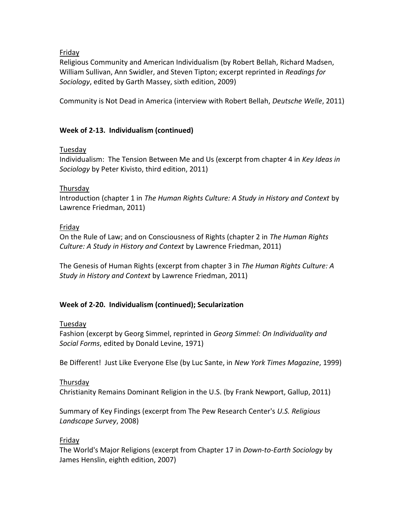Friday

Religious Community and American Individualism (by Robert Bellah, Richard Madsen, William Sullivan, Ann Swidler, and Steven Tipton; excerpt reprinted in *Readings for Sociology*, edited by Garth Massey, sixth edition, 2009)

Community is Not Dead in America (interview with Robert Bellah, *Deutsche Welle*, 2011)

## **Week of 2-13. Individualism (continued)**

#### Tuesday

Individualism: The Tension Between Me and Us (excerpt from chapter 4 in *Key Ideas in Sociology* by Peter Kivisto, third edition, 2011)

#### Thursday

Introduction (chapter 1 in *The Human Rights Culture: A Study in History and Context* by Lawrence Friedman, 2011)

## Friday

On the Rule of Law; and on Consciousness of Rights (chapter 2 in *The Human Rights Culture: A Study in History and Context* by Lawrence Friedman, 2011)

The Genesis of Human Rights (excerpt from chapter 3 in *The Human Rights Culture: A Study in History and Context* by Lawrence Friedman, 2011)

# **Week of 2-20. Individualism (continued); Secularization**

#### Tuesday

Fashion (excerpt by Georg Simmel, reprinted in *Georg Simmel: On Individuality and Social Forms*, edited by Donald Levine, 1971)

Be Different! Just Like Everyone Else (by Luc Sante, in *New York Times Magazine*, 1999)

# Thursday

Christianity Remains Dominant Religion in the U.S. (by Frank Newport, Gallup, 2011)

Summary of Key Findings (excerpt from The Pew Research Center's *U.S. Religious Landscape Survey*, 2008)

#### Friday

The World's Major Religions (excerpt from Chapter 17 in *Down-to-Earth Sociology* by James Henslin, eighth edition, 2007)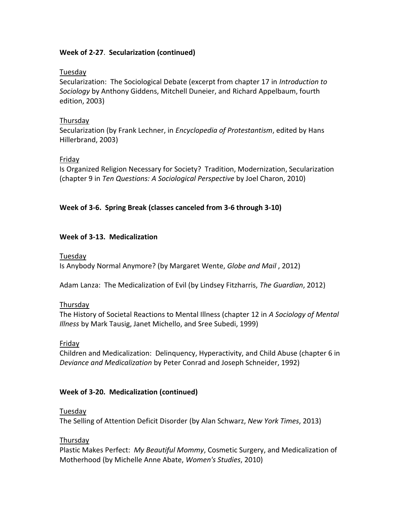## **Week of 2-27**. **Secularization (continued)**

#### Tuesday

Secularization: The Sociological Debate (excerpt from chapter 17 in *Introduction to Sociology* by Anthony Giddens, Mitchell Duneier, and Richard Appelbaum, fourth edition, 2003)

## Thursday

Secularization (by Frank Lechner, in *Encyclopedia of Protestantism*, edited by Hans Hillerbrand, 2003)

## Friday

Is Organized Religion Necessary for Society? Tradition, Modernization, Secularization (chapter 9 in *Ten Questions: A Sociological Perspective* by Joel Charon, 2010)

# **Week of 3-6. Spring Break (classes canceled from 3-6 through 3-10)**

## **Week of 3-13. Medicalization**

#### Tuesday

Is Anybody Normal Anymore? (by Margaret Wente, *Globe and Mail* , 2012)

Adam Lanza: The Medicalization of Evil (by Lindsey Fitzharris, *The Guardian*, 2012)

# Thursday

The History of Societal Reactions to Mental Illness (chapter 12 in *A Sociology of Mental Illness* by Mark Tausig, Janet Michello, and Sree Subedi, 1999)

#### Friday

Children and Medicalization: Delinquency, Hyperactivity, and Child Abuse (chapter 6 in *Deviance and Medicalization* by Peter Conrad and Joseph Schneider, 1992)

#### **Week of 3-20. Medicalization (continued)**

#### Tuesday

The Selling of Attention Deficit Disorder (by Alan Schwarz, *New York Times*, 2013)

#### Thursday

Plastic Makes Perfect: *My Beautiful Mommy*, Cosmetic Surgery, and Medicalization of Motherhood (by Michelle Anne Abate, *Women's Studies*, 2010)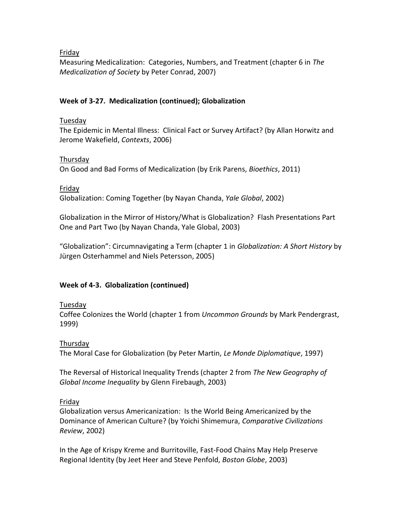#### Friday

Measuring Medicalization: Categories, Numbers, and Treatment (chapter 6 in *The Medicalization of Society* by Peter Conrad, 2007)

## **Week of 3-27. Medicalization (continued); Globalization**

## Tuesday

The Epidemic in Mental Illness: Clinical Fact or Survey Artifact? (by Allan Horwitz and Jerome Wakefield, *Contexts*, 2006)

## Thursday

On Good and Bad Forms of Medicalization (by Erik Parens, *Bioethics*, 2011)

Friday

Globalization: Coming Together (by Nayan Chanda, *Yale Global*, 2002)

Globalization in the Mirror of History/What is Globalization? Flash Presentations Part One and Part Two (by Nayan Chanda, Yale Global, 2003)

"Globalization": Circumnavigating a Term (chapter 1 in *Globalization: A Short History* by Jürgen Osterhammel and Niels Petersson, 2005)

# **Week of 4-3. Globalization (continued)**

# Tuesday

Coffee Colonizes the World (chapter 1 from *Uncommon Grounds* by Mark Pendergrast, 1999)

# Thursday

The Moral Case for Globalization (by Peter Martin, *Le Monde Diplomatique*, 1997)

The Reversal of Historical Inequality Trends (chapter 2 from *The New Geography of Global Income Inequality* by Glenn Firebaugh, 2003)

# Friday

Globalization versus Americanization: Is the World Being Americanized by the Dominance of American Culture? (by Yoichi Shimemura, *Comparative Civilizations Review*, 2002)

In the Age of Krispy Kreme and Burritoville, Fast-Food Chains May Help Preserve Regional Identity (by Jeet Heer and Steve Penfold, *Boston Globe*, 2003)